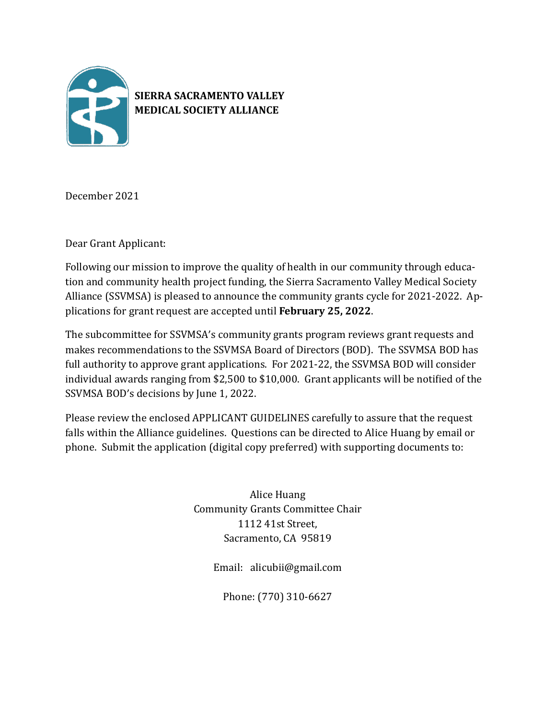

# **SIERRA SACRAMENTO VALLEY MEDICAL SOCIETY ALLIANCE**

December 2021

Dear Grant Applicant:

Following our mission to improve the quality of health in our community through education and community health project funding, the Sierra Sacramento Valley Medical Society Alliance (SSVMSA) is pleased to announce the community grants cycle for 2021-2022. Applications for grant request are accepted until **February 25, 2022**.

The subcommittee for SSVMSA's community grants program reviews grant requests and makes recommendations to the SSVMSA Board of Directors (BOD). The SSVMSA BOD has full authority to approve grant applications. For 2021-22, the SSVMSA BOD will consider individual awards ranging from \$2,500 to \$10,000. Grant applicants will be notified of the SSVMSA BOD's decisions by June 1, 2022.

Please review the enclosed APPLICANT GUIDELINES carefully to assure that the request falls within the Alliance guidelines. Questions can be directed to Alice Huang by email or phone. Submit the application (digital copy preferred) with supporting documents to:

> Alice Huang Community Grants Committee Chair 1112 41st Street, Sacramento, CA 95819

> > Email: alicubii@gmail.com

Phone: (770) 310-6627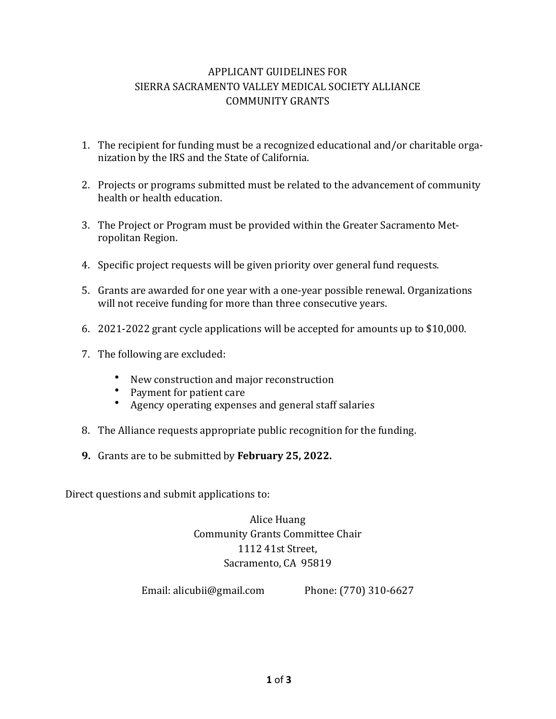### APPLICANT GUIDELINES FOR SIERRA SACRAMENTO VALLEY MEDICAL SOCIETY ALLIANCE COMMUNITY GRANTS

- 1. The recipient for funding must be a recognized educational and/or charitable organization by the IRS and the State of California.
- 2. Projects or programs submitted must be related to the advancement of community health or health education.
- 3. The Project or Program must be provided within the Greater Sacramento Metropolitan Region.
- 4. Specific project requests will be given priority over general fund requests.
- 5. Grants are awarded for one year with a one-year possible renewal. Organizations will not receive funding for more than three consecutive years.
- 6. 2021-2022 grant cycle applications will be accepted for amounts up to \$10,000.
- 7. The following are excluded:
	- New construction and major reconstruction
	- Payment for patient care
	- Agency operating expenses and general staff salaries
- 8. The Alliance requests appropriate public recognition for the funding.
- **9.** Grants are to be submitted by February 25, 2022.

Direct questions and submit applications to:

Alice Huang Community Grants Committee Chair 1112 41st Street, Sacramento, CA 95819

Email: alicubii@gmail.com Phone: (770) 310-6627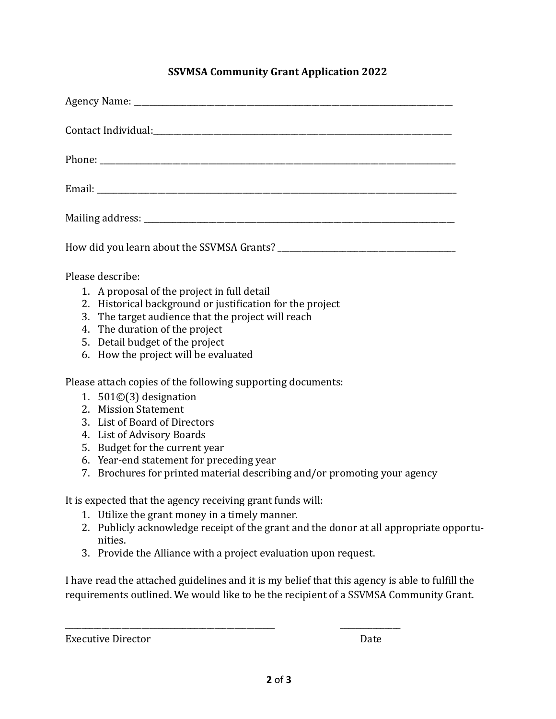### **SSVMSA Community Grant Application 2022**

| Please describe:                                          |
|-----------------------------------------------------------|
| 1. A proposal of the project in full detail               |
| 2. Historical background or justification for the project |
| 3. The target audience that the project will reach        |
| 4. The duration of the project                            |
| 5. Detail budget of the project                           |
| 6. How the project will be evaluated                      |

Please attach copies of the following supporting documents:

- 1.  $501\textcircled{3}$  designation
- 2. Mission Statement
- 3. List of Board of Directors
- 4. List of Advisory Boards
- 5. Budget for the current year
- 6. Year-end statement for preceding year
- 7. Brochures for printed material describing and/or promoting your agency

It is expected that the agency receiving grant funds will:

- 1. Utilize the grant money in a timely manner.
- 2. Publicly acknowledge receipt of the grant and the donor at all appropriate opportunities.
- 3. Provide the Alliance with a project evaluation upon request.

\_\_\_\_\_\_\_\_\_\_\_\_\_\_\_\_\_\_\_\_\_\_\_\_\_\_\_\_\_\_\_\_\_\_\_\_\_\_\_\_\_\_\_\_\_\_\_\_\_\_\_\_ \_\_\_\_\_\_\_\_\_\_\_\_\_\_\_

I have read the attached guidelines and it is my belief that this agency is able to fulfill the requirements outlined. We would like to be the recipient of a SSVMSA Community Grant.

Executive Director **Distribution COVER**